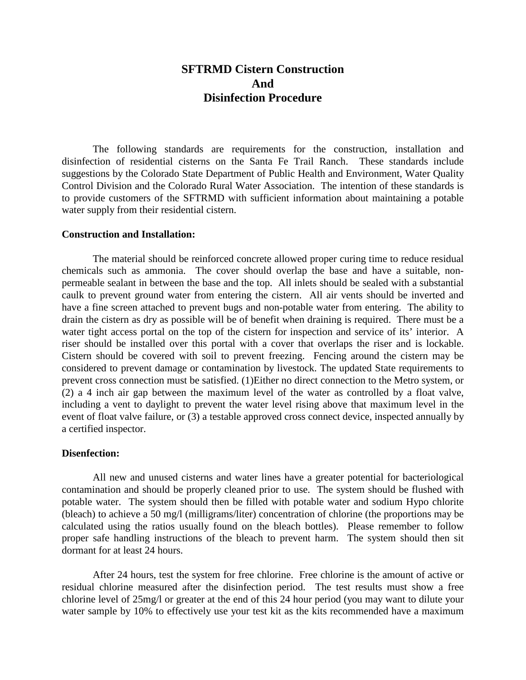# **SFTRMD Cistern Construction And Disinfection Procedure**

The following standards are requirements for the construction, installation and disinfection of residential cisterns on the Santa Fe Trail Ranch. These standards include suggestions by the Colorado State Department of Public Health and Environment, Water Quality Control Division and the Colorado Rural Water Association. The intention of these standards is to provide customers of the SFTRMD with sufficient information about maintaining a potable water supply from their residential cistern.

#### **Construction and Installation:**

The material should be reinforced concrete allowed proper curing time to reduce residual chemicals such as ammonia. The cover should overlap the base and have a suitable, nonpermeable sealant in between the base and the top. All inlets should be sealed with a substantial caulk to prevent ground water from entering the cistern. All air vents should be inverted and have a fine screen attached to prevent bugs and non-potable water from entering. The ability to drain the cistern as dry as possible will be of benefit when draining is required. There must be a water tight access portal on the top of the cistern for inspection and service of its' interior. A riser should be installed over this portal with a cover that overlaps the riser and is lockable. Cistern should be covered with soil to prevent freezing. Fencing around the cistern may be considered to prevent damage or contamination by livestock. The updated State requirements to prevent cross connection must be satisfied. (1)Either no direct connection to the Metro system, or (2) a 4 inch air gap between the maximum level of the water as controlled by a float valve, including a vent to daylight to prevent the water level rising above that maximum level in the event of float valve failure, or (3) a testable approved cross connect device, inspected annually by a certified inspector.

#### **Disenfection:**

All new and unused cisterns and water lines have a greater potential for bacteriological contamination and should be properly cleaned prior to use. The system should be flushed with potable water. The system should then be filled with potable water and sodium Hypo chlorite (bleach) to achieve a 50 mg/l (milligrams/liter) concentration of chlorine (the proportions may be calculated using the ratios usually found on the bleach bottles). Please remember to follow proper safe handling instructions of the bleach to prevent harm. The system should then sit dormant for at least 24 hours.

After 24 hours, test the system for free chlorine. Free chlorine is the amount of active or residual chlorine measured after the disinfection period. The test results must show a free chlorine level of 25mg/l or greater at the end of this 24 hour period (you may want to dilute your water sample by 10% to effectively use your test kit as the kits recommended have a maximum